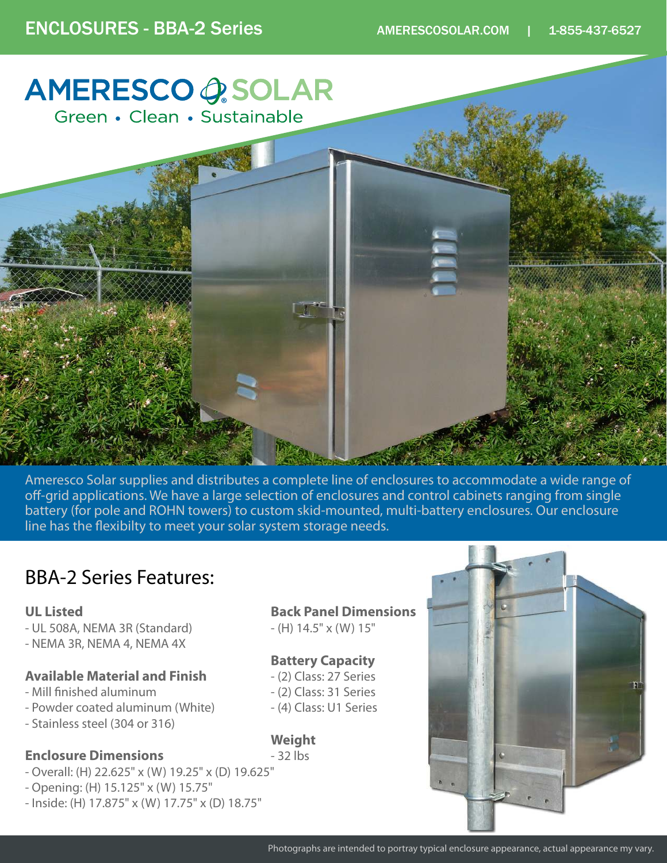# **AMERESCO OSOLAR** Green • Clean • Sustainable

Ameresco Solar supplies and distributes a complete line of enclosures to accommodate a wide range of off-grid applications. We have a large selection of enclosures and control cabinets ranging from single battery (for pole and ROHN towers) to custom skid-mounted, multi-battery enclosures. Our enclosure line has the flexibilty to meet your solar system storage needs.

# BBA-2 Series Features:

#### **UL Listed**

- UL 508A, NEMA 3R (Standard)
- NEMA 3R, NEMA 4, NEMA 4X

### **Available Material and Finish**

- Mill finished aluminum
- Powder coated aluminum (White)
- Stainless steel (304 or 316)

## **Enclosure Dimensions**

- Overall: (H) 22.625" x (W) 19.25" x (D) 19.625"
- Opening: (H) 15.125" x (W) 15.75"
- Inside: (H) 17.875" x (W) 17.75" x (D) 18.75"

### **Back Panel Dimensions**

 $-$  (H) 14.5" x (W) 15"

## **Battery Capacity**

- (2) Class: 27 Series
- (2) Class: 31 Series
- (4) Class: U1 Series

## **Weight**

- 32 lbs